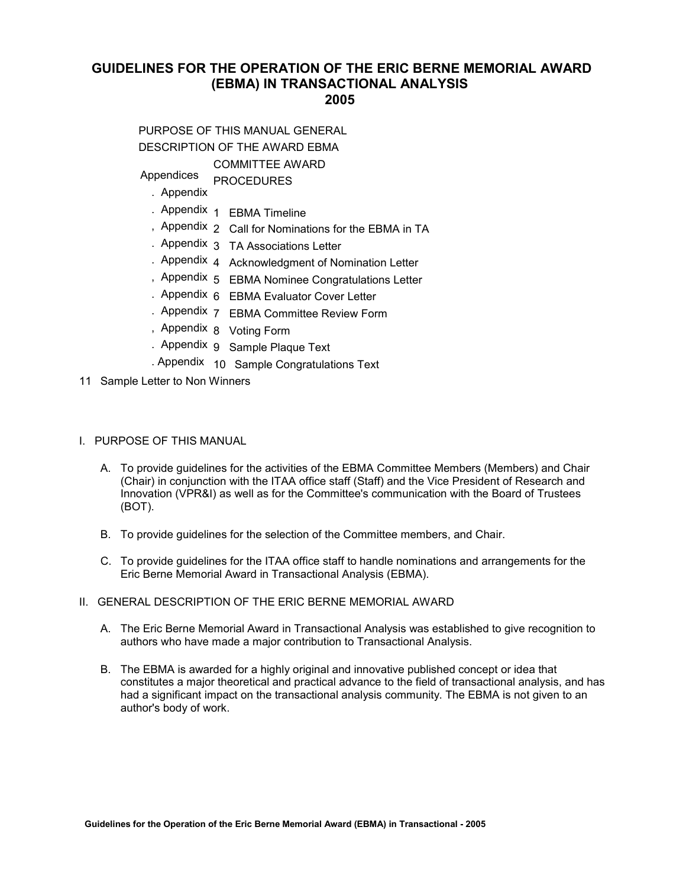### **GUIDELINES FOR THE OPERATION OF THE ERIC BERNE MEMORIAL AWARD (EBMA) IN TRANSACTIONAL ANALYSIS 2005**

PURPOSE OF THIS MANUAL GENERAL DESCRIPTION OF THE AWARD EBMA

COMMITTEE AWARD

Appendices PROCEDURES

. Appendix

- . Appendix 1 EBMA Timeline
- , Appendix 2 Call for Nominations for the EBMA in TA
- . Appendix 3 TA Associations Letter
- . Appendix 4 Acknowledgment of Nomination Letter
- , Appendix 5 EBMA Nominee Congratulations Letter
- . Appendix 6 EBMA Evaluator Cover Letter
- . Appendix 7 EBMA Committee Review Form
- , Appendix 8 Voting Form
- . Appendix 9 Sample Plaque Text
- . Appendix 10 Sample Congratulations Text
- 11 Sample Letter to Non Winners
- I. PURPOSE OF THIS MANUAL
	- A. To provide guidelines for the activities of the EBMA Committee Members (Members) and Chair (Chair) in conjunction with the ITAA office staff (Staff) and the Vice President of Research and Innovation (VPR&I) as well as for the Committee's communication with the Board of Trustees (BOT).
	- B. To provide guidelines for the selection of the Committee members, and Chair.
	- C. To provide guidelines for the ITAA office staff to handle nominations and arrangements for the Eric Berne Memorial Award in Transactional Analysis (EBMA).
- II. GENERAL DESCRIPTION OF THE ERIC BERNE MEMORIAL AWARD
	- A. The Eric Berne Memorial Award in Transactional Analysis was established to give recognition to authors who have made a major contribution to Transactional Analysis.
	- B. The EBMA is awarded for a highly original and innovative published concept or idea that constitutes a major theoretical and practical advance to the field of transactional analysis, and has had a significant impact on the transactional analysis community. The EBMA is not given to an author's body of work.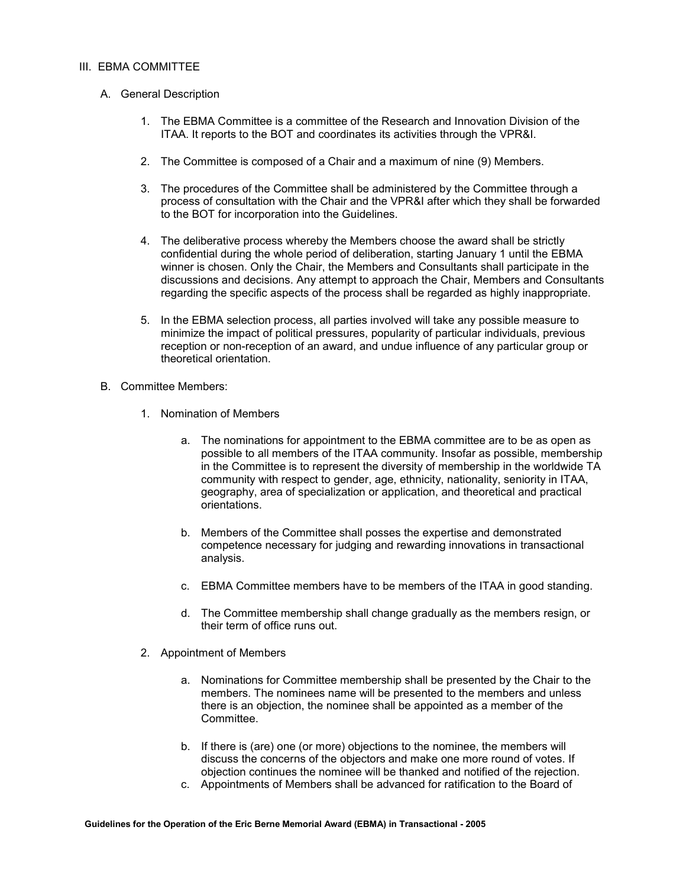#### III. EBMA COMMITTEE

- A. General Description
	- 1. The EBMA Committee is a committee of the Research and Innovation Division of the ITAA. It reports to the BOT and coordinates its activities through the VPR&I.
	- 2. The Committee is composed of a Chair and a maximum of nine (9) Members.
	- 3. The procedures of the Committee shall be administered by the Committee through a process of consultation with the Chair and the VPR&I after which they shall be forwarded to the BOT for incorporation into the Guidelines.
	- 4. The deliberative process whereby the Members choose the award shall be strictly confidential during the whole period of deliberation, starting January 1 until the EBMA winner is chosen. Only the Chair, the Members and Consultants shall participate in the discussions and decisions. Any attempt to approach the Chair, Members and Consultants regarding the specific aspects of the process shall be regarded as highly inappropriate.
	- 5. In the EBMA selection process, all parties involved will take any possible measure to minimize the impact of political pressures, popularity of particular individuals, previous reception or non-reception of an award, and undue influence of any particular group or theoretical orientation.
- B. Committee Members:
	- 1. Nomination of Members
		- a. The nominations for appointment to the EBMA committee are to be as open as possible to all members of the ITAA community. Insofar as possible, membership in the Committee is to represent the diversity of membership in the worldwide TA community with respect to gender, age, ethnicity, nationality, seniority in ITAA, geography, area of specialization or application, and theoretical and practical orientations.
		- b. Members of the Committee shall posses the expertise and demonstrated competence necessary for judging and rewarding innovations in transactional analysis.
		- c. EBMA Committee members have to be members of the ITAA in good standing.
		- d. The Committee membership shall change gradually as the members resign, or their term of office runs out.
	- 2. Appointment of Members
		- a. Nominations for Committee membership shall be presented by the Chair to the members. The nominees name will be presented to the members and unless there is an objection, the nominee shall be appointed as a member of the **Committee.**
		- b. If there is (are) one (or more) objections to the nominee, the members will discuss the concerns of the objectors and make one more round of votes. If objection continues the nominee will be thanked and notified of the rejection.
		- c. Appointments of Members shall be advanced for ratification to the Board of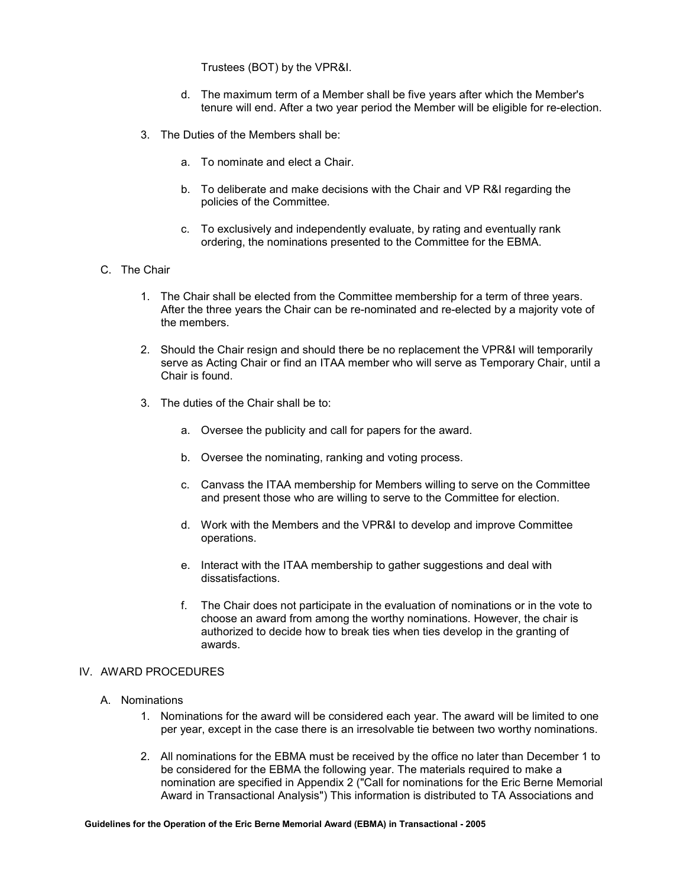Trustees (BOT) by the VPR&I.

- d. The maximum term of a Member shall be five years after which the Member's tenure will end. After a two year period the Member will be eligible for re-election.
- 3. The Duties of the Members shall be:
	- a. To nominate and elect a Chair.
	- b. To deliberate and make decisions with the Chair and VP R&I regarding the policies of the Committee.
	- c. To exclusively and independently evaluate, by rating and eventually rank ordering, the nominations presented to the Committee for the EBMA.

#### C. The Chair

- 1. The Chair shall be elected from the Committee membership for a term of three years. After the three years the Chair can be re-nominated and re-elected by a majority vote of the members.
- 2. Should the Chair resign and should there be no replacement the VPR&I will temporarily serve as Acting Chair or find an ITAA member who will serve as Temporary Chair, until a Chair is found.
- 3. The duties of the Chair shall be to:
	- a. Oversee the publicity and call for papers for the award.
	- b. Oversee the nominating, ranking and voting process.
	- c. Canvass the ITAA membership for Members willing to serve on the Committee and present those who are willing to serve to the Committee for election.
	- d. Work with the Members and the VPR&I to develop and improve Committee operations.
	- e. Interact with the ITAA membership to gather suggestions and deal with dissatisfactions.
	- f. The Chair does not participate in the evaluation of nominations or in the vote to choose an award from among the worthy nominations. However, the chair is authorized to decide how to break ties when ties develop in the granting of awards.

#### IV. AWARD PROCEDURES

#### A. Nominations

- 1. Nominations for the award will be considered each year. The award will be limited to one per year, except in the case there is an irresolvable tie between two worthy nominations.
- 2. All nominations for the EBMA must be received by the office no later than December 1 to be considered for the EBMA the following year. The materials required to make a nomination are specified in Appendix 2 ("Call for nominations for the Eric Berne Memorial Award in Transactional Analysis") This information is distributed to TA Associations and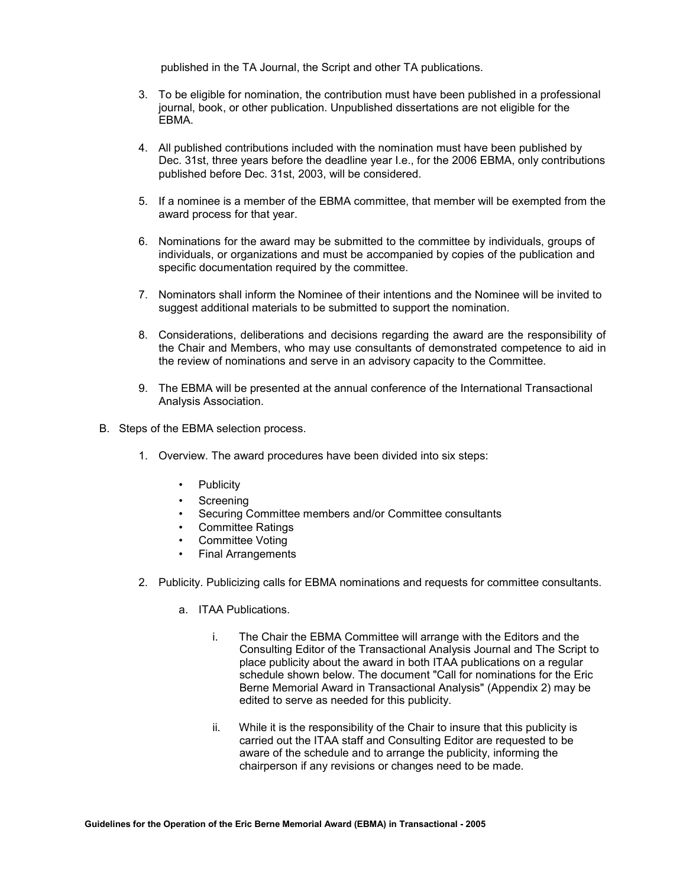published in the TA Journal, the Script and other TA publications.

- 3. To be eligible for nomination, the contribution must have been published in a professional journal, book, or other publication. Unpublished dissertations are not eligible for the EBMA.
- 4. All published contributions included with the nomination must have been published by Dec. 31st, three years before the deadline year I.e., for the 2006 EBMA, only contributions published before Dec. 31st, 2003, will be considered.
- 5. If a nominee is a member of the EBMA committee, that member will be exempted from the award process for that year.
- 6. Nominations for the award may be submitted to the committee by individuals, groups of individuals, or organizations and must be accompanied by copies of the publication and specific documentation required by the committee.
- 7. Nominators shall inform the Nominee of their intentions and the Nominee will be invited to suggest additional materials to be submitted to support the nomination.
- 8. Considerations, deliberations and decisions regarding the award are the responsibility of the Chair and Members, who may use consultants of demonstrated competence to aid in the review of nominations and serve in an advisory capacity to the Committee.
- 9. The EBMA will be presented at the annual conference of the International Transactional Analysis Association.
- B. Steps of the EBMA selection process.
	- 1. Overview. The award procedures have been divided into six steps:
		- *•* Publicity
		- *•* Screening
		- *•* Securing Committee members and/or Committee consultants
		- *•* Committee Ratings
		- *•* Committee Voting
		- *•* Final Arrangements
	- 2. Publicity. Publicizing calls for EBMA nominations and requests for committee consultants.
		- a. ITAA Publications.
			- i. The Chair the EBMA Committee will arrange with the Editors and the Consulting Editor of the Transactional Analysis Journal and The Script to place publicity about the award in both ITAA publications on a regular schedule shown below. The document "Call for nominations for the Eric Berne Memorial Award in Transactional Analysis" (Appendix 2) may be edited to serve as needed for this publicity.
			- ii. While it is the responsibility of the Chair to insure that this publicity is carried out the ITAA staff and Consulting Editor are requested to be aware of the schedule and to arrange the publicity, informing the chairperson if any revisions or changes need to be made.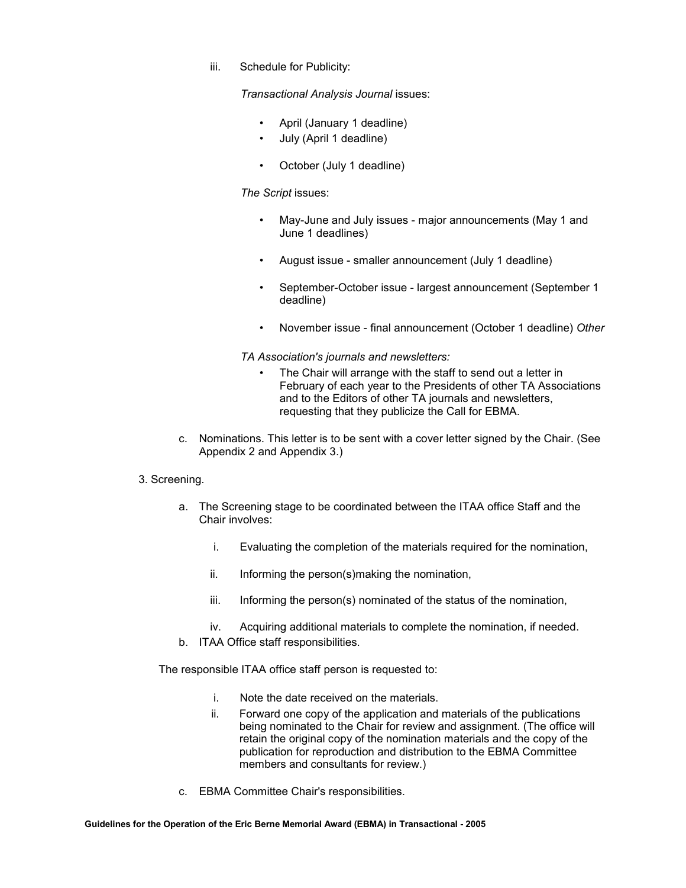iii. Schedule for Publicity:

*Transactional Analysis Journal* issues:

- *•* April (January 1 deadline)
- *•* July (April 1 deadline)
- *•* October (July 1 deadline)

*The Script* issues:

- *•* May-June and July issues major announcements (May 1 and June 1 deadlines)
- *•* August issue smaller announcement (July 1 deadline)
- *•* September-October issue largest announcement (September 1 deadline)
- *•* November issue final announcement (October 1 deadline) *Other*

*TA Association's journals and newsletters:*

- *•* The Chair will arrange with the staff to send out a letter in February of each year to the Presidents of other TA Associations and to the Editors of other TA journals and newsletters, requesting that they publicize the Call for EBMA.
- c. Nominations. This letter is to be sent with a cover letter signed by the Chair. (See Appendix 2 and Appendix 3.)

#### 3. Screening.

- a. The Screening stage to be coordinated between the ITAA office Staff and the Chair involves:
	- i. Evaluating the completion of the materials required for the nomination,
	- ii. Informing the person(s)making the nomination,
	- iii. Informing the person(s) nominated of the status of the nomination,
	- iv. Acquiring additional materials to complete the nomination, if needed.
- b. ITAA Office staff responsibilities.

The responsible ITAA office staff person is requested to:

- i. Note the date received on the materials.
- ii. Forward one copy of the application and materials of the publications being nominated to the Chair for review and assignment. (The office will retain the original copy of the nomination materials and the copy of the publication for reproduction and distribution to the EBMA Committee members and consultants for review.)
- c. EBMA Committee Chair's responsibilities.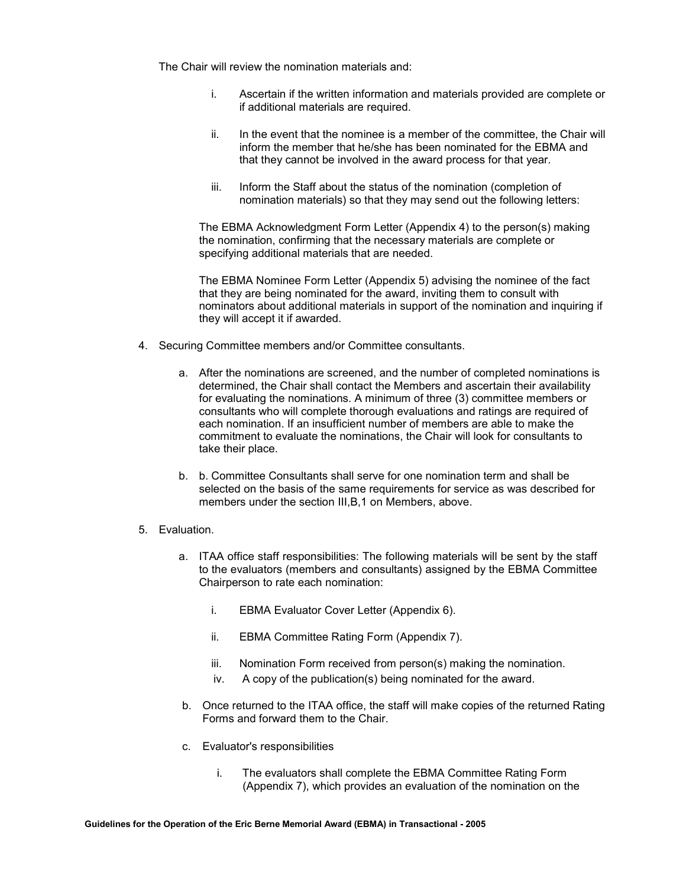The Chair will review the nomination materials and:

- i. Ascertain if the written information and materials provided are complete or if additional materials are required.
- ii. In the event that the nominee is a member of the committee, the Chair will inform the member that he/she has been nominated for the EBMA and that they cannot be involved in the award process for that year.
- iii. Inform the Staff about the status of the nomination (completion of nomination materials) so that they may send out the following letters:

The EBMA Acknowledgment Form Letter (Appendix 4) to the person(s) making the nomination, confirming that the necessary materials are complete or specifying additional materials that are needed.

The EBMA Nominee Form Letter (Appendix 5) advising the nominee of the fact that they are being nominated for the award, inviting them to consult with nominators about additional materials in support of the nomination and inquiring if they will accept it if awarded.

- 4. Securing Committee members and/or Committee consultants.
	- a. After the nominations are screened, and the number of completed nominations is determined, the Chair shall contact the Members and ascertain their availability for evaluating the nominations. A minimum of three (3) committee members or consultants who will complete thorough evaluations and ratings are required of each nomination. If an insufficient number of members are able to make the commitment to evaluate the nominations, the Chair will look for consultants to take their place.
	- b. b. Committee Consultants shall serve for one nomination term and shall be selected on the basis of the same requirements for service as was described for members under the section III,B,1 on Members, above.
- 5. Evaluation.
	- a. ITAA office staff responsibilities: The following materials will be sent by the staff to the evaluators (members and consultants) assigned by the EBMA Committee Chairperson to rate each nomination:
		- i. EBMA Evaluator Cover Letter (Appendix 6).
		- ii. EBMA Committee Rating Form (Appendix 7).
		- iii. Nomination Form received from person(s) making the nomination.
		- iv. A copy of the publication(s) being nominated for the award.
	- b. Once returned to the ITAA office, the staff will make copies of the returned Rating Forms and forward them to the Chair.
	- c. Evaluator's responsibilities
		- i. The evaluators shall complete the EBMA Committee Rating Form (Appendix 7), which provides an evaluation of the nomination on the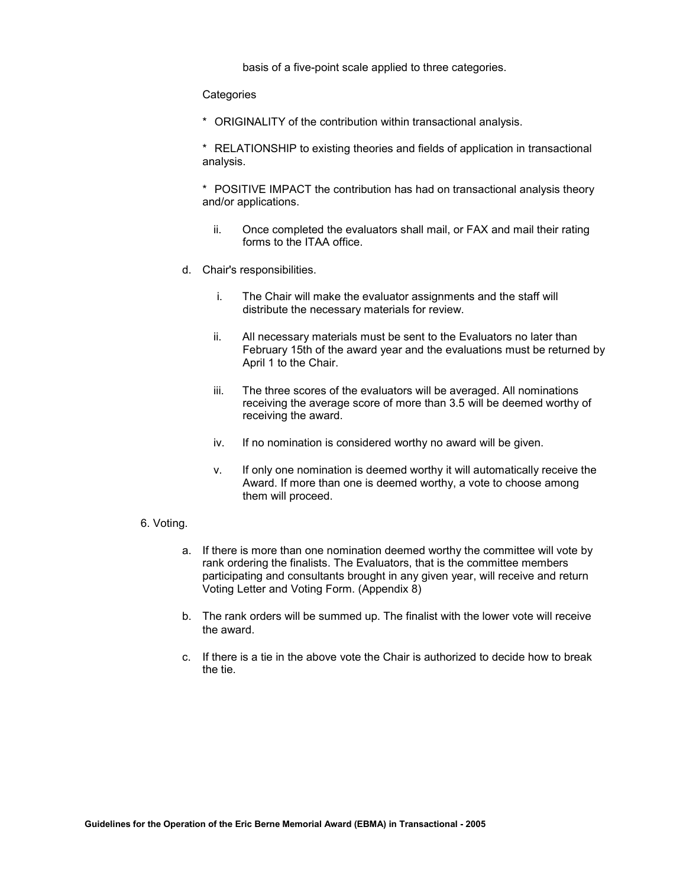basis of a five-point scale applied to three categories.

#### **Categories**

\* ORIGINALITY of the contribution within transactional analysis.

\* RELATIONSHIP to existing theories and fields of application in transactional analysis.

\* POSITIVE IMPACT the contribution has had on transactional analysis theory and/or applications.

- ii. Once completed the evaluators shall mail, or FAX and mail their rating forms to the ITAA office.
- d. Chair's responsibilities.
	- i. The Chair will make the evaluator assignments and the staff will distribute the necessary materials for review.
	- ii. All necessary materials must be sent to the Evaluators no later than February 15th of the award year and the evaluations must be returned by April 1 to the Chair.
	- iii. The three scores of the evaluators will be averaged. All nominations receiving the average score of more than 3.5 will be deemed worthy of receiving the award.
	- iv. If no nomination is considered worthy no award will be given.
	- v. If only one nomination is deemed worthy it will automatically receive the Award. If more than one is deemed worthy, a vote to choose among them will proceed.

#### 6. Voting.

- a. If there is more than one nomination deemed worthy the committee will vote by rank ordering the finalists. The Evaluators, that is the committee members participating and consultants brought in any given year, will receive and return Voting Letter and Voting Form. (Appendix 8)
- b. The rank orders will be summed up. The finalist with the lower vote will receive the award.
- c. If there is a tie in the above vote the Chair is authorized to decide how to break the tie.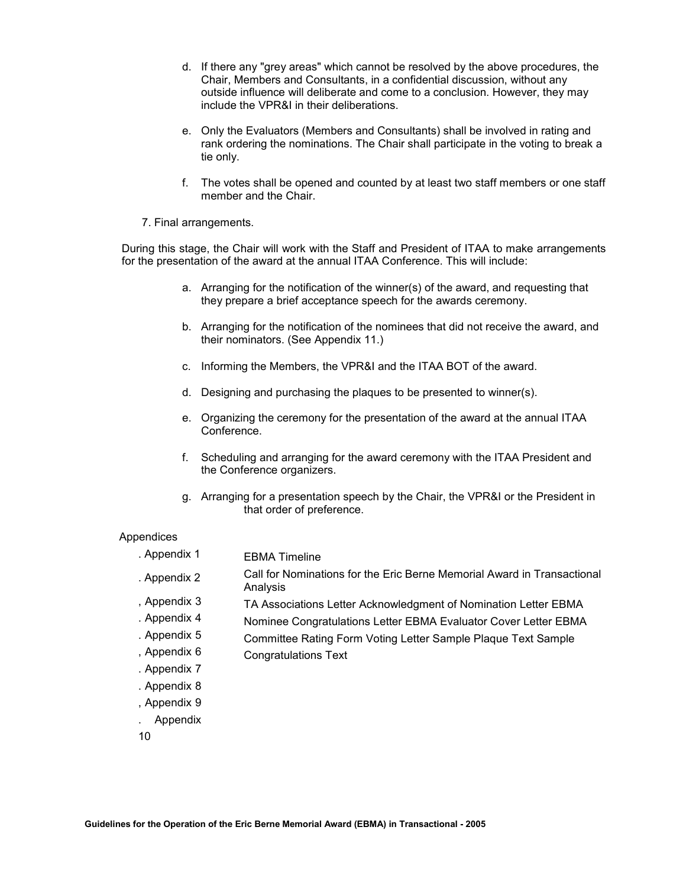- d. If there any "grey areas" which cannot be resolved by the above procedures, the Chair, Members and Consultants, in a confidential discussion, without any outside influence will deliberate and come to a conclusion. However, they may include the VPR&I in their deliberations.
- e. Only the Evaluators (Members and Consultants) shall be involved in rating and rank ordering the nominations. The Chair shall participate in the voting to break a tie only.
- f. The votes shall be opened and counted by at least two staff members or one staff member and the Chair.

#### 7. Final arrangements.

During this stage, the Chair will work with the Staff and President of ITAA to make arrangements for the presentation of the award at the annual ITAA Conference. This will include:

- a. Arranging for the notification of the winner(s) of the award, and requesting that they prepare a brief acceptance speech for the awards ceremony.
- b. Arranging for the notification of the nominees that did not receive the award, and their nominators. (See Appendix 11.)
- c. Informing the Members, the VPR&I and the ITAA BOT of the award.
- d. Designing and purchasing the plaques to be presented to winner(s).
- e. Organizing the ceremony for the presentation of the award at the annual ITAA Conference.
- f. Scheduling and arranging for the award ceremony with the ITAA President and the Conference organizers.
- g. Arranging for a presentation speech by the Chair, the VPR&I or the President in that order of preference.

#### Appendices

- . Appendix 1 EBMA Timeline
- . Appendix 2 Call for Nominations for the Eric Berne Memorial Award in Transactional Analysis
- , Appendix 3 TA Associations Letter Acknowledgment of Nomination Letter EBMA
- . Appendix 4 Nominee Congratulations Letter EBMA Evaluator Cover Letter EBMA
- . Appendix 5 Committee Rating Form Voting Letter Sample Plaque Text Sample
- , Appendix 6 Congratulations Text
- . Appendix 7
- . Appendix 8
- , Appendix 9
- . Appendix
- 10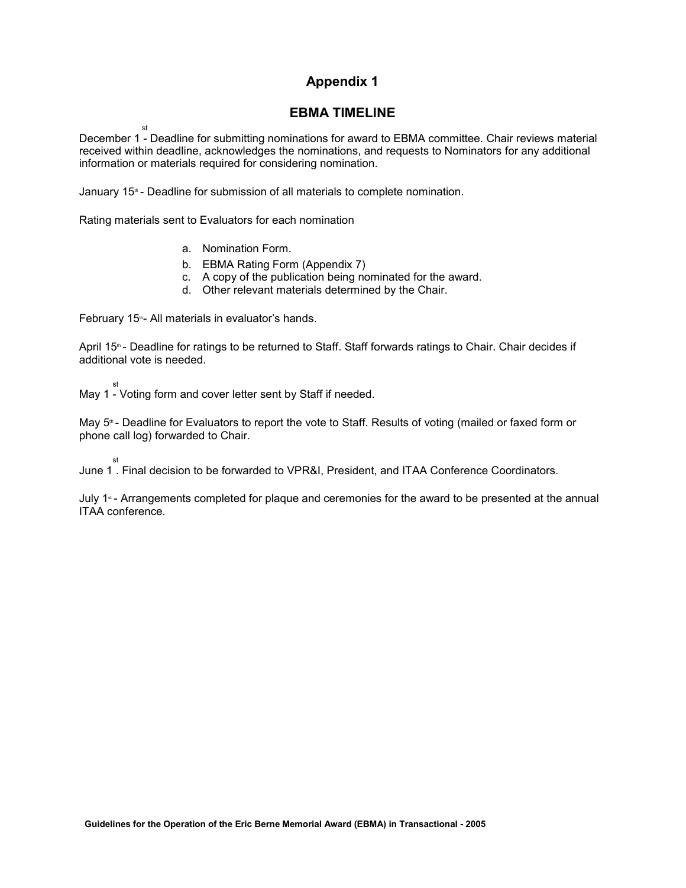### **EBMA TIMELINE**

st December 1 - Deadline for submitting nominations for award to EBMA committee. Chair reviews material received within deadline, acknowledges the nominations, and requests to Nominators for any additional information or materials required for considering nomination.

January 15<sup>th</sup> - Deadline for submission of all materials to complete nomination.

Rating materials sent to Evaluators for each nomination

- a. Nomination Form.
- b. EBMA Rating Form (Appendix 7)
- c. A copy of the publication being nominated for the award.
- d. Other relevant materials determined by the Chair.

February  $15<sup>n</sup>$ - All materials in evaluator's hands.

April 15<sup>th</sup> - Deadline for ratings to be returned to Staff. Staff forwards ratings to Chair. Chair decides if additional vote is needed.

st May 1 - Voting form and cover letter sent by Staff if needed.

May 5<sup>th</sup> - Deadline for Evaluators to report the vote to Staff. Results of voting (mailed or faxed form or phone call log) forwarded to Chair.

st June 1 . Final decision to be forwarded to VPR&I, President, and ITAA Conference Coordinators.

July 1<sup>st</sup> - Arrangements completed for plaque and ceremonies for the award to be presented at the annual ITAA conference.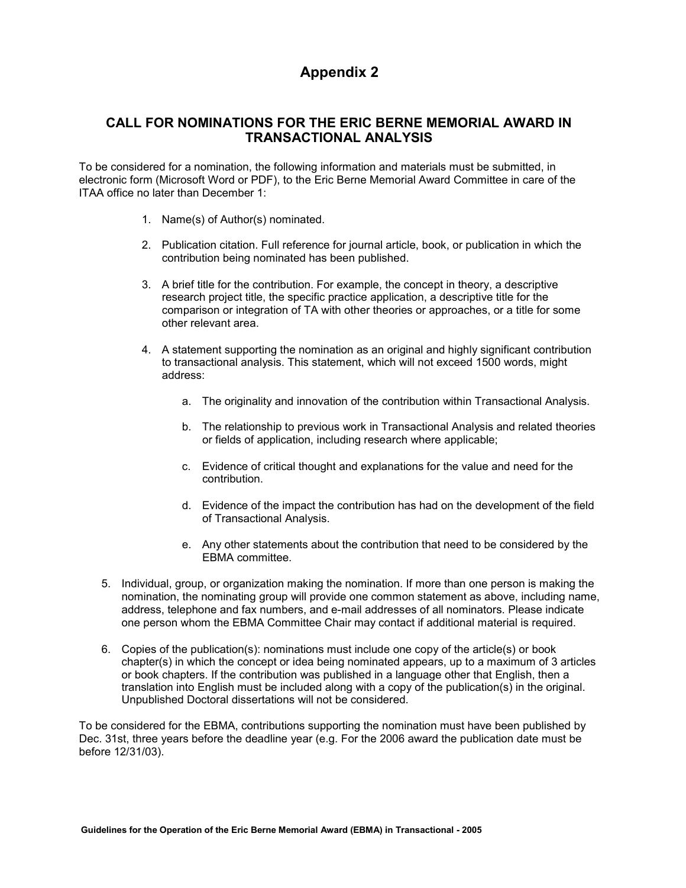### **CALL FOR NOMINATIONS FOR THE ERIC BERNE MEMORIAL AWARD IN TRANSACTIONAL ANALYSIS**

To be considered for a nomination, the following information and materials must be submitted, in electronic form (Microsoft Word or PDF), to the Eric Berne Memorial Award Committee in care of the ITAA office no later than December 1:

- 1. Name(s) of Author(s) nominated.
- 2. Publication citation. Full reference for journal article, book, or publication in which the contribution being nominated has been published.
- 3. A brief title for the contribution. For example, the concept in theory, a descriptive research project title, the specific practice application, a descriptive title for the comparison or integration of TA with other theories or approaches, or a title for some other relevant area.
- 4. A statement supporting the nomination as an original and highly significant contribution to transactional analysis. This statement, which will not exceed 1500 words, might address:
	- a. The originality and innovation of the contribution within Transactional Analysis.
	- b. The relationship to previous work in Transactional Analysis and related theories or fields of application, including research where applicable;
	- c. Evidence of critical thought and explanations for the value and need for the contribution.
	- d. Evidence of the impact the contribution has had on the development of the field of Transactional Analysis.
	- e. Any other statements about the contribution that need to be considered by the EBMA committee.
- 5. Individual, group, or organization making the nomination. If more than one person is making the nomination, the nominating group will provide one common statement as above, including name, address, telephone and fax numbers, and e-mail addresses of all nominators. Please indicate one person whom the EBMA Committee Chair may contact if additional material is required.
- 6. Copies of the publication(s): nominations must include one copy of the article(s) or book chapter(s) in which the concept or idea being nominated appears, up to a maximum of 3 articles or book chapters. If the contribution was published in a language other that English, then a translation into English must be included along with a copy of the publication(s) in the original. Unpublished Doctoral dissertations will not be considered.

To be considered for the EBMA, contributions supporting the nomination must have been published by Dec. 31st, three years before the deadline year (e.g. For the 2006 award the publication date must be before 12/31/03).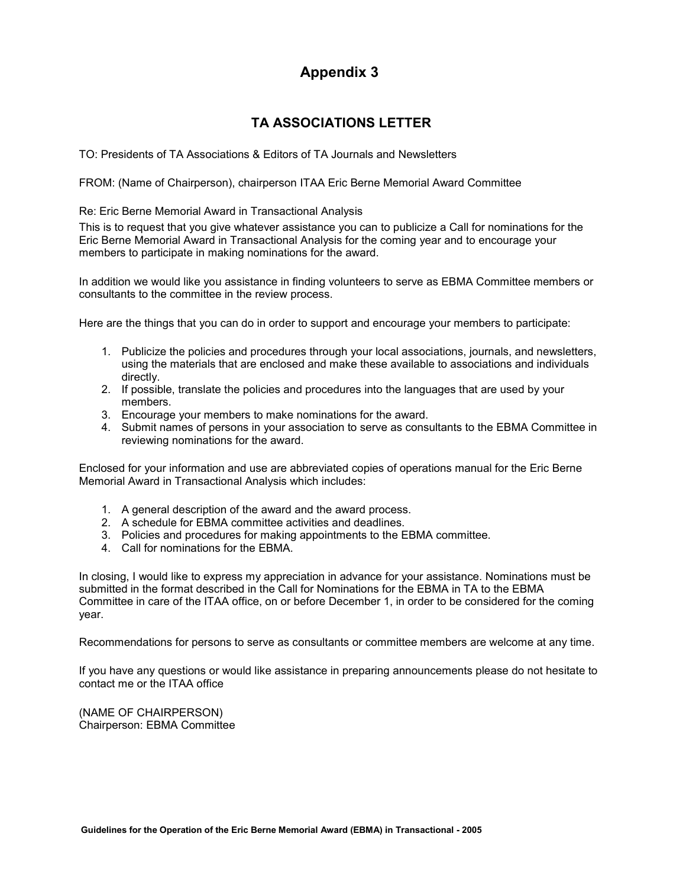## **TA ASSOCIATIONS LETTER**

TO: Presidents of TA Associations & Editors of TA Journals and Newsletters

FROM: (Name of Chairperson), chairperson ITAA Eric Berne Memorial Award Committee

Re: Eric Berne Memorial Award in Transactional Analysis

This is to request that you give whatever assistance you can to publicize a Call for nominations for the Eric Berne Memorial Award in Transactional Analysis for the coming year and to encourage your members to participate in making nominations for the award.

In addition we would like you assistance in finding volunteers to serve as EBMA Committee members or consultants to the committee in the review process.

Here are the things that you can do in order to support and encourage your members to participate:

- 1. Publicize the policies and procedures through your local associations, journals, and newsletters, using the materials that are enclosed and make these available to associations and individuals directly.
- 2. If possible, translate the policies and procedures into the languages that are used by your members.
- 3. Encourage your members to make nominations for the award.
- 4. Submit names of persons in your association to serve as consultants to the EBMA Committee in reviewing nominations for the award.

Enclosed for your information and use are abbreviated copies of operations manual for the Eric Berne Memorial Award in Transactional Analysis which includes:

- 1. A general description of the award and the award process.
- 2. A schedule for EBMA committee activities and deadlines.
- 3. Policies and procedures for making appointments to the EBMA committee.
- 4. Call for nominations for the EBMA.

In closing, I would like to express my appreciation in advance for your assistance. Nominations must be submitted in the format described in the Call for Nominations for the EBMA in TA to the EBMA Committee in care of the ITAA office, on or before December 1, in order to be considered for the coming year.

Recommendations for persons to serve as consultants or committee members are welcome at any time.

If you have any questions or would like assistance in preparing announcements please do not hesitate to contact me or the ITAA office

(NAME OF CHAIRPERSON) Chairperson: EBMA Committee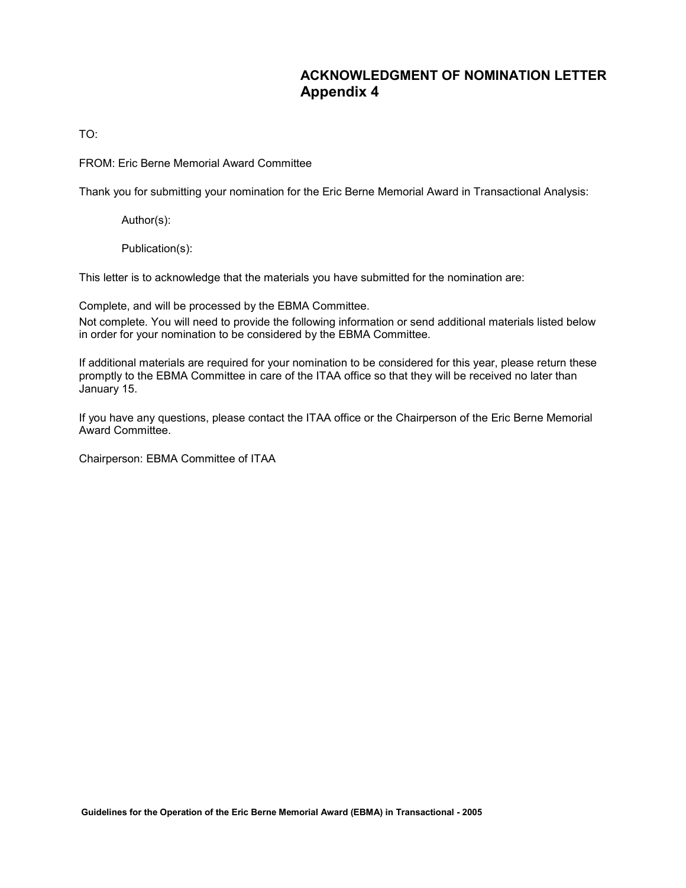## **ACKNOWLEDGMENT OF NOMINATION LETTER Appendix 4**

TO:

FROM: Eric Berne Memorial Award Committee

Thank you for submitting your nomination for the Eric Berne Memorial Award in Transactional Analysis:

Author(s):

Publication(s):

This letter is to acknowledge that the materials you have submitted for the nomination are:

Complete, and will be processed by the EBMA Committee.

Not complete. You will need to provide the following information or send additional materials listed below in order for your nomination to be considered by the EBMA Committee.

If additional materials are required for your nomination to be considered for this year, please return these promptly to the EBMA Committee in care of the ITAA office so that they will be received no later than January 15.

If you have any questions, please contact the ITAA office or the Chairperson of the Eric Berne Memorial Award Committee.

Chairperson: EBMA Committee of ITAA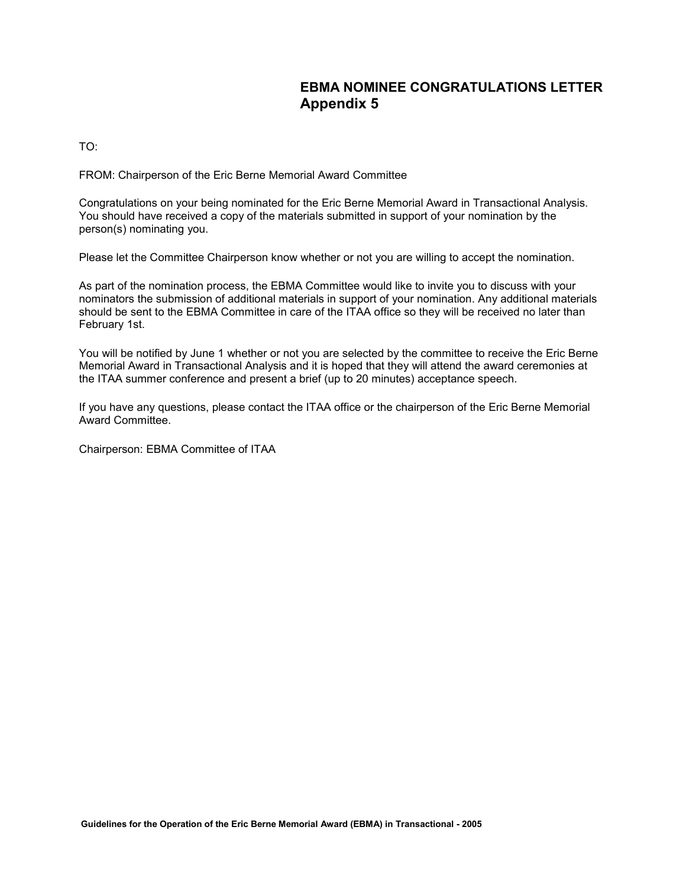## **EBMA NOMINEE CONGRATULATIONS LETTER Appendix 5**

TO:

FROM: Chairperson of the Eric Berne Memorial Award Committee

Congratulations on your being nominated for the Eric Berne Memorial Award in Transactional Analysis. You should have received a copy of the materials submitted in support of your nomination by the person(s) nominating you.

Please let the Committee Chairperson know whether or not you are willing to accept the nomination.

As part of the nomination process, the EBMA Committee would like to invite you to discuss with your nominators the submission of additional materials in support of your nomination. Any additional materials should be sent to the EBMA Committee in care of the ITAA office so they will be received no later than February 1st.

You will be notified by June 1 whether or not you are selected by the committee to receive the Eric Berne Memorial Award in Transactional Analysis and it is hoped that they will attend the award ceremonies at the ITAA summer conference and present a brief (up to 20 minutes) acceptance speech.

If you have any questions, please contact the ITAA office or the chairperson of the Eric Berne Memorial Award Committee.

Chairperson: EBMA Committee of ITAA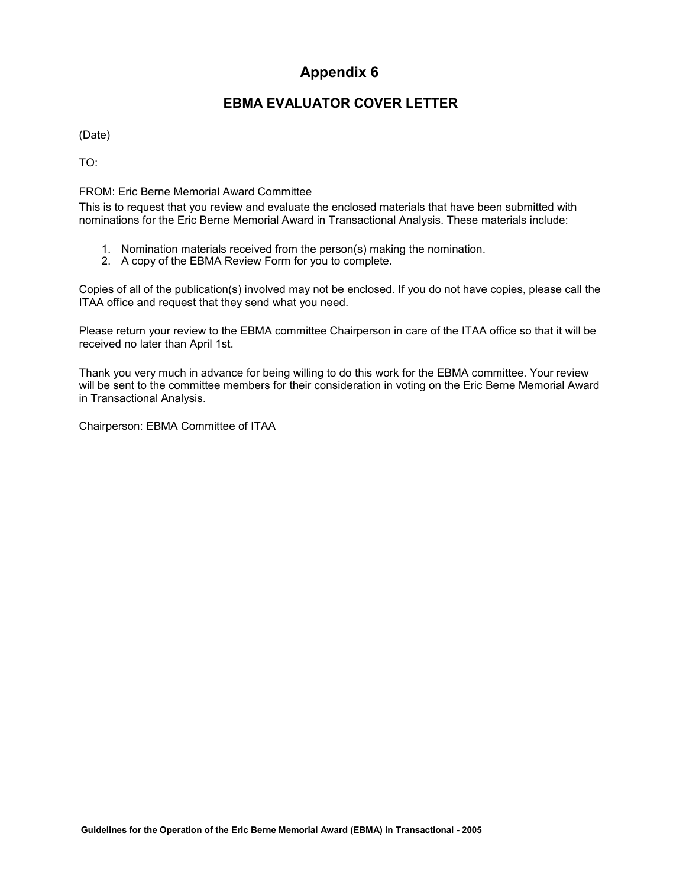## **EBMA EVALUATOR COVER LETTER**

(Date)

TO:

FROM: Eric Berne Memorial Award Committee

This is to request that you review and evaluate the enclosed materials that have been submitted with nominations for the Eric Berne Memorial Award in Transactional Analysis. These materials include:

- 1. Nomination materials received from the person(s) making the nomination.
- 2. A copy of the EBMA Review Form for you to complete.

Copies of all of the publication(s) involved may not be enclosed. If you do not have copies, please call the ITAA office and request that they send what you need.

Please return your review to the EBMA committee Chairperson in care of the ITAA office so that it will be received no later than April 1st.

Thank you very much in advance for being willing to do this work for the EBMA committee. Your review will be sent to the committee members for their consideration in voting on the Eric Berne Memorial Award in Transactional Analysis.

Chairperson: EBMA Committee of ITAA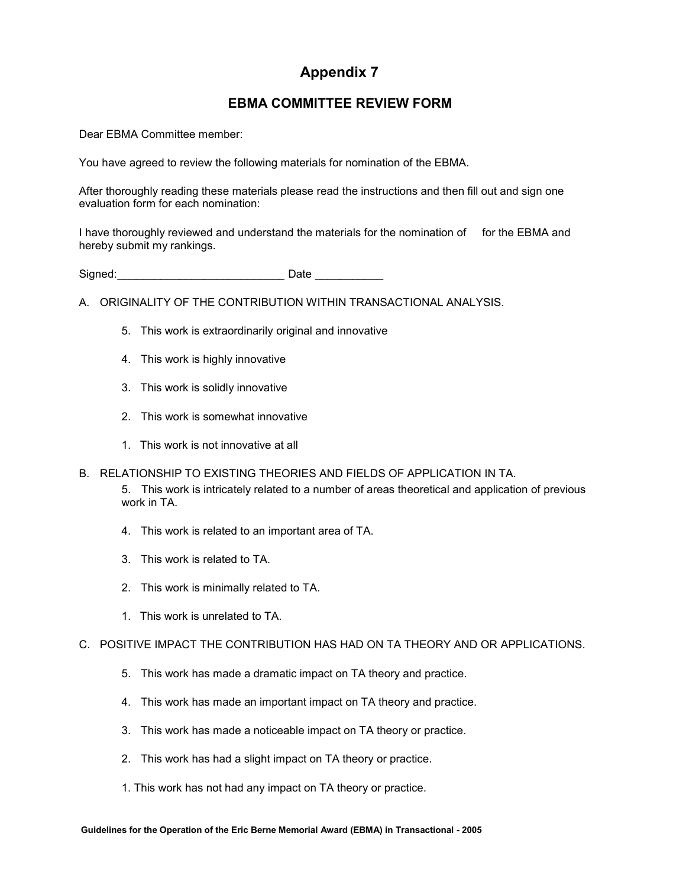## **EBMA COMMITTEE REVIEW FORM**

Dear EBMA Committee member:

You have agreed to review the following materials for nomination of the EBMA.

After thoroughly reading these materials please read the instructions and then fill out and sign one evaluation form for each nomination:

I have thoroughly reviewed and understand the materials for the nomination of for the EBMA and hereby submit my rankings.

Signed:\_\_\_\_\_\_\_\_\_\_\_\_\_\_\_\_\_\_\_\_\_\_\_\_\_\_\_\_\_\_\_\_\_ Date \_\_\_\_\_\_\_\_\_\_\_\_\_

A. ORIGINALITY OF THE CONTRIBUTION WITHIN TRANSACTIONAL ANALYSIS.

- 5. This work is extraordinarily original and innovative
- 4. This work is highly innovative
- 3. This work is solidly innovative
- 2. This work is somewhat innovative
- 1. This work is not innovative at all
- B. RELATIONSHIP TO EXISTING THEORIES AND FIELDS OF APPLICATION IN TA.

5. This work is intricately related to a number of areas theoretical and application of previous work in TA.

- 4. This work is related to an important area of TA.
- 3. This work is related to TA.
- 2. This work is minimally related to TA.
- 1. This work is unrelated to TA.
- C. POSITIVE IMPACT THE CONTRIBUTION HAS HAD ON TA THEORY AND OR APPLICATIONS.
	- 5. This work has made a dramatic impact on TA theory and practice.
	- 4. This work has made an important impact on TA theory and practice.
	- 3. This work has made a noticeable impact on TA theory or practice.
	- 2. This work has had a slight impact on TA theory or practice.
	- 1. This work has not had any impact on TA theory or practice.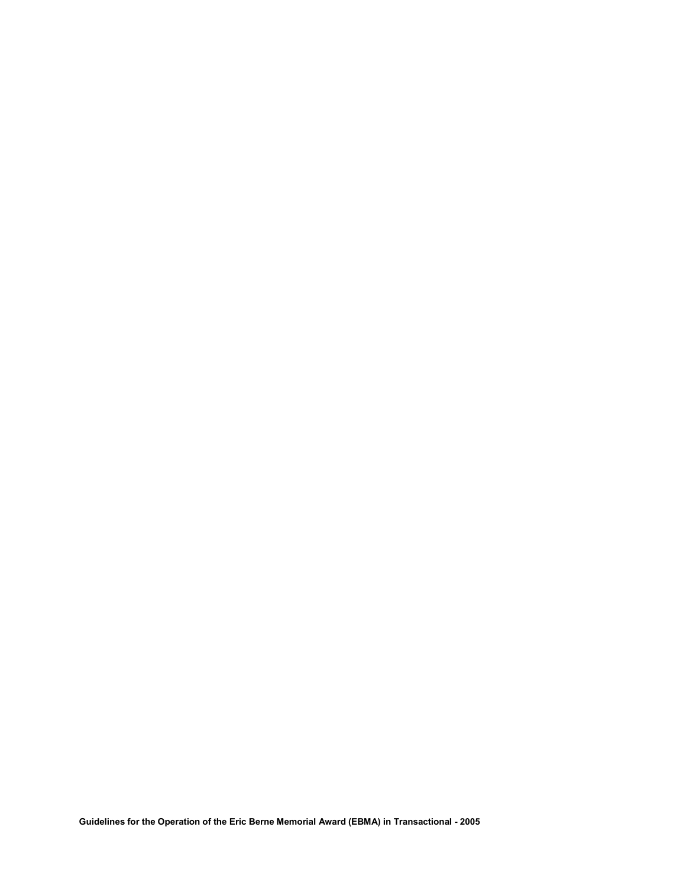**Guidelines for the Operation of the Eric Berne Memorial Award (EBMA) in Transactional - 2005**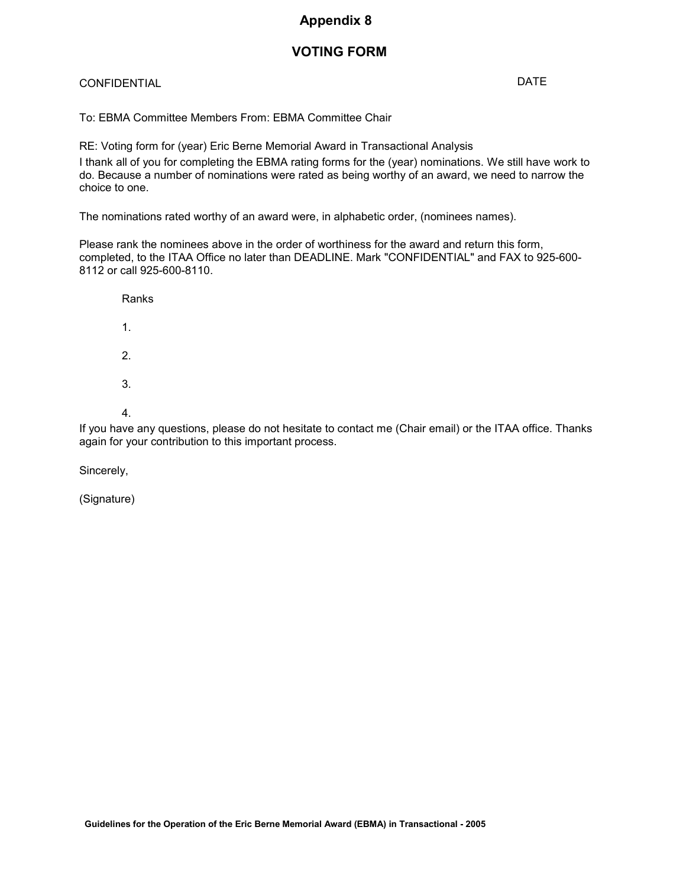## **VOTING FORM**

#### **CONFIDENTIAL**

DATE

To: EBMA Committee Members From: EBMA Committee Chair

RE: Voting form for (year) Eric Berne Memorial Award in Transactional Analysis

I thank all of you for completing the EBMA rating forms for the (year) nominations. We still have work to do. Because a number of nominations were rated as being worthy of an award, we need to narrow the choice to one.

The nominations rated worthy of an award were, in alphabetic order, (nominees names).

Please rank the nominees above in the order of worthiness for the award and return this form, completed, to the ITAA Office no later than DEADLINE. Mark "CONFIDENTIAL" and FAX to 925-600- 8112 or call 925-600-8110.

Ranks 1. 2. 3.

4.

If you have any questions, please do not hesitate to contact me (Chair email) or the ITAA office. Thanks again for your contribution to this important process.

Sincerely,

(Signature)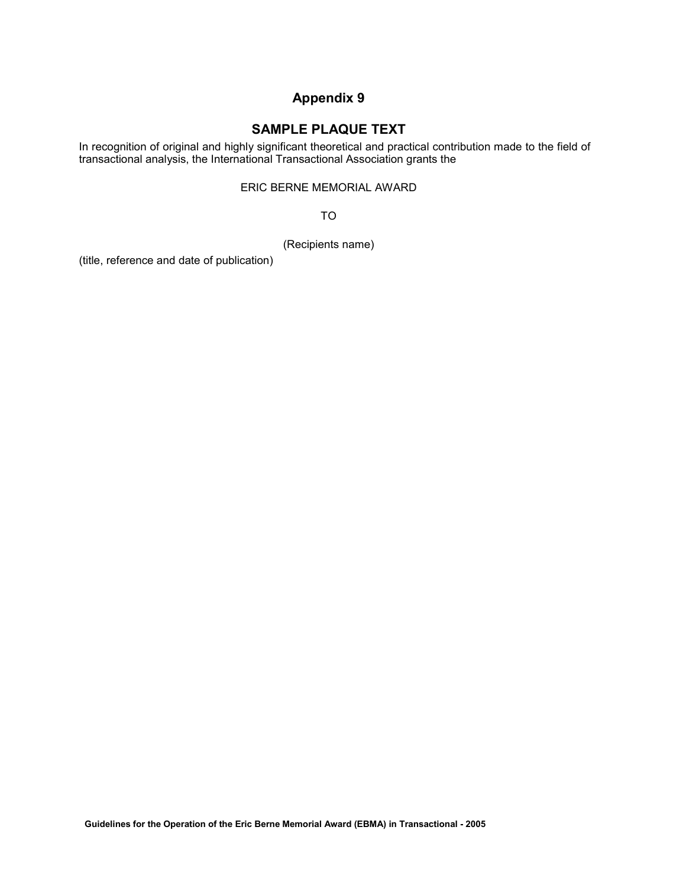### **SAMPLE PLAQUE TEXT**

In recognition of original and highly significant theoretical and practical contribution made to the field of transactional analysis, the International Transactional Association grants the

### ERIC BERNE MEMORIAL AWARD

TO

(Recipients name)

(title, reference and date of publication)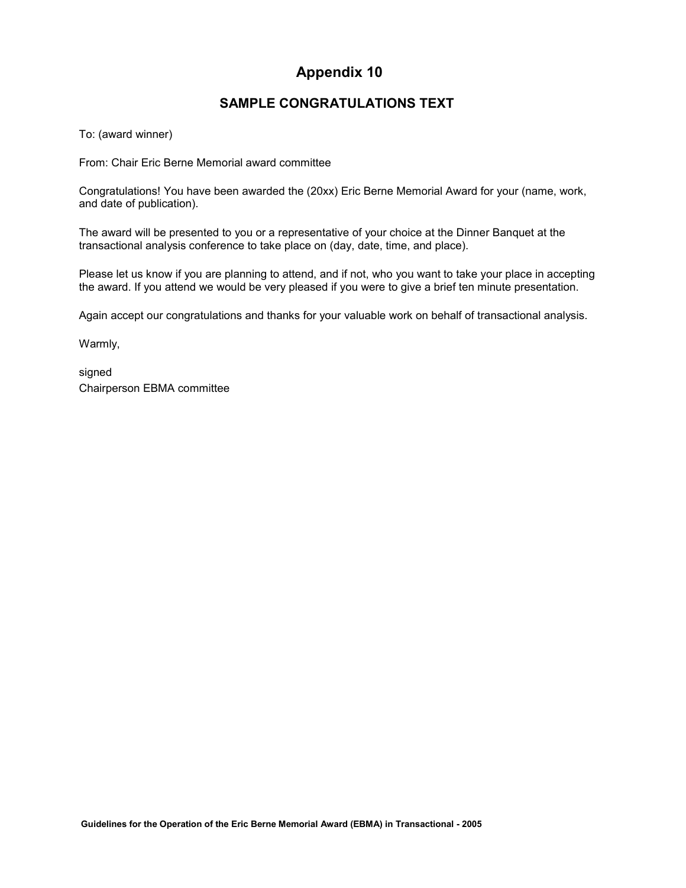### **SAMPLE CONGRATULATIONS TEXT**

To: (award winner)

From: Chair Eric Berne Memorial award committee

Congratulations! You have been awarded the (20xx) Eric Berne Memorial Award for your (name, work, and date of publication).

The award will be presented to you or a representative of your choice at the Dinner Banquet at the transactional analysis conference to take place on (day, date, time, and place).

Please let us know if you are planning to attend, and if not, who you want to take your place in accepting the award. If you attend we would be very pleased if you were to give a brief ten minute presentation.

Again accept our congratulations and thanks for your valuable work on behalf of transactional analysis.

Warmly,

signed Chairperson EBMA committee